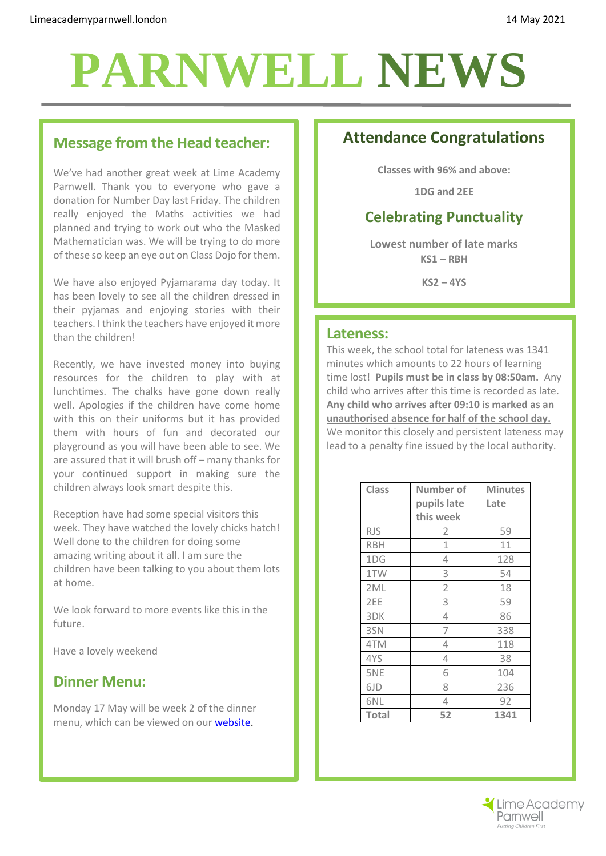# **PARNWELL NEWS**

### **Message from the Head teacher:**

We've had another great week at Lime Academy Parnwell. Thank you to everyone who gave a donation for Number Day last Friday. The children really enjoyed the Maths activities we had planned and trying to work out who the Masked Mathematician was. We will be trying to do more of these so keep an eye out on Class Dojo forthem.

We have also enjoyed Pyjamarama day today. It has been lovely to see all the children dressed in their pyjamas and enjoying stories with their teachers. Ithink the teachers have enjoyed it more than the children!

Recently, we have invested money into buying resources for the children to play with at lunchtimes. The chalks have gone down really well. Apologies if the children have come home with this on their uniforms but it has provided them with hours of fun and decorated our playground as you will have been able to see. We are assured that it will brush off – many thanks for your continued support in making sure the children always look smart despite this.

Reception have had some special visitors this week. They have watched the lovely chicks hatch! Well done to the children for doing some amazing writing about it all. I am sure the children have been talking to you about them lots at home.

We look forward to more events like this in the future.

Have a lovely weekend

### **Dinner Menu:**

Monday 17 May will be week 2 of the dinner menu, which can be viewed on our [website.](http://limeacademyparnwell.org/media/3932/dinner-menu-2020-09-18.pdf)

## **Attendance Congratulations**

**Classes with 96% and above:**

**1DG and 2EE**

### **Celebrating Punctuality**

**Lowest number of late marks KS1 – RBH**

**KS2 – 4YS**

#### **Lateness:**

This week, the school total for lateness was 1341 minutes which amounts to 22 hours of learning time lost! **Pupils must be in class by 08:50am.** Any child who arrives after this time is recorded as late. **Any child who arrives after 09:10 is marked as an unauthorised absence for half of the school day.** We monitor this closely and persistent lateness may lead to a penalty fine issued by the local authority.

| <b>Class</b>    | <b>Number of</b> | <b>Minutes</b> |
|-----------------|------------------|----------------|
|                 | pupils late      | Late           |
|                 | this week        |                |
| <b>RJS</b>      | 2                | 59             |
| <b>RBH</b>      | 1                | 11             |
| 1DG             | 4                | 128            |
| 1TW             | 3                | 54             |
| 2 <sub>ML</sub> | 2                | 18             |
| 2EE             | 3                | 59             |
| 3DK             | 4                | 86             |
| 3SN             | 7                | 338            |
| 4TM             | 4                | 118            |
| 4YS             | 4                | 38             |
| 5NE             | 6                | 104            |
| 6JD             | 8                | 236            |
| 6NL             | 4                | 92             |
| <b>Total</b>    | 52               | 1341           |